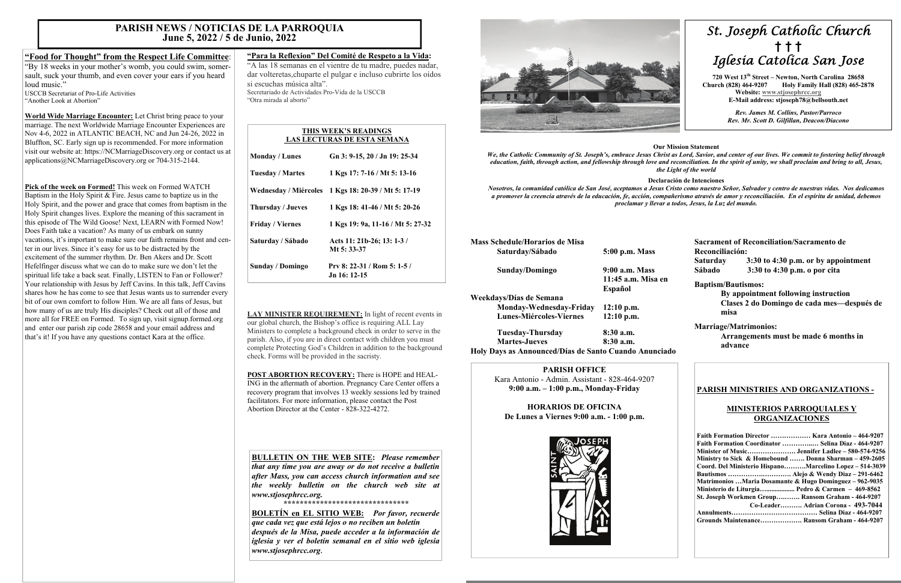# *St. Joseph Catholic Church*  **†****† †**  *Iglesia Catolica San Jose*

 **720 West 13th Street – Newton, North Carolina 28658 Church (828) 464-9207 Holy Family Hall (828) 465-2878 Website: [www.stjosephrcc.org](http://www.stjoseph4cc.org/) E-Mail address: stjoseph78@bellsouth.net** 

> *Rev. James M. Collins, Pastor/Parroco Rev. Mr. Scott D. Gilfillan, Deacon/Diacono*

#### **Our Mission Statement**

*We, the Catholic Community of St. Joseph's, embrace Jesus Christ as Lord, Savior, and center of our lives. We commit to fostering belief through nd reconciliation. In the spirit of unity, we shall proclaim and bring to all, Jesus, the Light of the world* 

#### **Declaración de Intenciones**

*Nosotros, la comunidad católica de San José, aceptamos a Jesus Cristo como nuestro Señor, Salvador y centro de nuestras vidas. Nos dedicamos a promover la creencia através de la educación, fe, acción, compañerismo através de amor y reconciliación. En el espíritu de unidad, debemos proclamar y llevar a todos, Jesus, la Luz del mundo.* 

| We, the Catholic Community of St. Joseph's, embrace Jesus Christ<br>education, faith, through action, and fellowship through love and | the L                           |
|---------------------------------------------------------------------------------------------------------------------------------------|---------------------------------|
| Nosotros, la comunidad católica de San José, aceptamos a Jesus C<br>a promover la creencia através de la educación, fe, acción, compa | Declara<br>proclamar y llevar a |
| <b>Mass Schedule/Horarios de Misa</b><br>Saturday/Sábado                                                                              | 5:00 p.m. Mass                  |
|                                                                                                                                       |                                 |
| Sunday/Domingo                                                                                                                        | 9:00 a.m. Mass                  |
|                                                                                                                                       | 11:45 a.m. Misa en              |
|                                                                                                                                       | Español                         |
| Weekdays/Días de Semana                                                                                                               |                                 |
| Monday-Wednesday-Friday                                                                                                               | 12:10 p.m.                      |
| <b>Lunes-Miércoles-Viernes</b>                                                                                                        | $12:10$ p.m.                    |

 **Tuesday-Thursday 8:30 a.m. Martes-Jueves** 8:30 a.m. **Holy Days as Announced/Días de Santo Cuando Anunciado** 

"By 18 weeks in your mother's womb, you could swim, somersault, suck your thumb, and even cover your ears if you heard loud music." USCCB Secretariat of Pro-Life Activities

> **Sacrament of Reconciliation/Sacramento de Reconciliación: Saturday 3:30 to 4:30 p.m. or by appointment Sábado 3:30 to 4:30 p.m. o por cita**

#### **Baptism/Bautismos:**

 **By appointment following instruction Clases 2 do Domingo de cada mes—después de misa** 

### **Marriage/Matrimonios:**

 **Arrangements must be made 6 months in advance** 

#### **PARISH OFFICE**

Kara Antonio - Admin. Assistant - 828-464-9207 **9:00 a.m. – 1:00 p.m., Monday-Friday** 

**HORARIOS DE OFICINA De Lunes a Viernes 9:00 a.m. - 1:00 p.m.** 



## **PARISH MINISTRIES AND ORGANIZATIONS -**

## **MINISTERIOS PARROQUIALES Y ORGANIZACIONES**

| Faith Formation Director  Kara Antonio - 464-9207       |
|---------------------------------------------------------|
| Faith Formation Coordinator  Selina Diaz - 464-9207     |
|                                                         |
| Ministry to Sick & Homebound  Donna Sharman – 459-2605  |
| Coord. Del Ministerio HispanoMarcelino Lopez – 514-3039 |
|                                                         |
| Matrimonios Maria Dosamante & Hugo Dominguez – 962-9035 |
| Ministerio de Liturgia Pedro & Carmen $-469-8562$       |
| St. Joseph Workmen Group Ransom Graham - 464-9207       |
| Co-Leader Adrian Corona - 493-7044                      |
|                                                         |
| Grounds Maintenance Ransom Graham - 464-9207            |

# **"Food for Thought" from the Respect Life Committee**:

"Another Look at Abortion"

**World Wide Marriage Encounter:** Let Christ bring peace to your marriage. The next Worldwide Marriage Encounter Experiences are Nov 4-6, 2022 in ATLANTIC BEACH, NC and Jun 24-26, 2022 in Bluffton, SC. Early sign up is recommended. For more information visit our website at: https://NCMarriageDiscovery.org or contact us at applications@NCMarriageDiscovery.org or 704-315-2144.

**Pick of the week on Formed!** This week on Formed WATCH Baptism in the Holy Spirit & Fire. Jesus came to baptize us in the Holy Spirit, and the power and grace that comes from baptism in the Holy Spirit changes lives. Explore the meaning of this sacrament in this episode of The Wild Goose! Next, LEARN with Formed Now! Does Faith take a vacation? As many of us embark on sunny vacations, it's important to make sure our faith remains front and center in our lives. Since it's easy for us to be distracted by the excitement of the summer rhythm. Dr. Ben Akers and Dr. Scott Hefelfinger discuss what we can do to make sure we don't let the spiritual life take a back seat. Finally, LISTEN to Fan or Follower? Your relationship with Jesus by Jeff Cavins. In this talk, Jeff Cavins shares how he has come to see that Jesus wants us to surrender every bit of our own comfort to follow Him. We are all fans of Jesus, but how many of us are truly His disciples? Check out all of those and more all for FREE on Formed. To sign up, visit signup.formed.org and enter our parish zip code 28658 and your email address and that's it! If you have any questions contact Kara at the office.

# **"Para la Reflexion" Del Comité de Respeto a la Vida:**

"A las 18 semanas en el vientre de tu madre, puedes nadar, dar volteretas,chuparte el pulgar e incluso cubrirte los oídos si escuchas música alta".Secretariado de Actividades Pro-Vida de la USCCB "Otra mirada al aborto"

**LAY MINISTER REQUIREMENT:** In light of recent events in our global church, the Bishop's office is requiring ALL Lay Ministers to complete a background check in order to serve in the parish. Also, if you are in direct contact with children you must complete Protecting God's Children in addition to the background check. Forms will be provided in the sacristy.

**POST ABORTION RECOVERY:** There is HOPE and HEAL-ING in the aftermath of abortion. Pregnancy Care Center offers a recovery program that involves 13 weekly sessions led by trained facilitators. For more information, please contact the Post Abortion Director at the Center - 828-322-4272.

# **PARISH NEWS / NOTICIAS DE LA PARROQUIA June 5, 2022 / 5 de Junio, 2022**

#### **THIS WEEK'S READINGS LAS LECTURAS DE ESTA SEMANA**

| <b>Monday / Lunes</b>   | Gn 3: 9-15, 20 / Jn 19: 25-34               |
|-------------------------|---------------------------------------------|
| <b>Tuesday / Martes</b> | 1 Kgs 17: 7-16 / Mt 5: 13-16                |
| Wednesday / Miércoles   | 1 Kgs 18: 20-39 / Mt 5: 17-19               |
| Thursday / Jueves       | 1 Kgs 18: 41-46 / Mt 5: 20-26               |
| <b>Friday</b> / Viernes | 1 Kgs 19: 9a, 11-16 / Mt 5: 27-32           |
| Saturday / Sábado       | Acts 11: 21b-26; 13: 1-3 /<br>Mt 5: 33-37   |
| Sunday / Domingo        | Prv 8: 22-31 / Rom 5: 1-5 /<br>Jn 16: 12-15 |

# **BULLETIN ON THE WEB SITE:** *Please remember*

*that any time you are away or do not receive a bulletin after Mass, you can access church information and see the weekly bulletin on the church web site at www.stjosephrcc.org.* 

*\*\*\*\*\*\*\*\*\*\*\*\*\*\*\*\*\*\*\*\*\*\*\*\*\*\*\*\*\*\*\** 

**BOLETÍN en EL SITIO WEB:** *Por favor, recuerde que cada vez que está lejos o no reciben un boletín después de la Misa, puede acceder a la información de iglesia y ver el boletín semanal en el sitio web iglesia www.stjosephrcc.org***.**